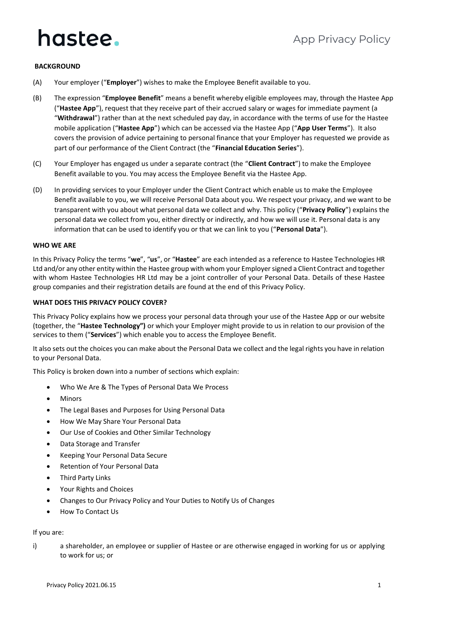### **BACKGROUND**

- (A) Your employer ("**Employer**") wishes to make the Employee Benefit available to you.
- (B) The expression "**Employee Benefit**" means a benefit whereby eligible employees may, through the Hastee App ("**Hastee App**"), request that they receive part of their accrued salary or wages for immediate payment (a "**Withdrawal**") rather than at the next scheduled pay day, in accordance with the terms of use for the Hastee mobile application ("**Hastee App**") which can be accessed via the Hastee App ("**App User Terms**"). It also covers the provision of advice pertaining to personal finance that your Employer has requested we provide as part of our performance of the Client Contract (the "**Financial Education Series**").
- (C) Your Employer has engaged us under a separate contract (the "**Client Contract**") to make the Employee Benefit available to you. You may access the Employee Benefit via the Hastee App.
- (D) In providing services to your Employer under the Client Contract which enable us to make the Employee Benefit available to you, we will receive Personal Data about you. We respect your privacy, and we want to be transparent with you about what personal data we collect and why. This policy ("**Privacy Policy**") explains the personal data we collect from you, either directly or indirectly, and how we will use it. Personal data is any information that can be used to identify you or that we can link to you ("**Personal Data**").

#### **WHO WE ARE**

In this Privacy Policy the terms "**we**", "**us**", or "**Hastee**" are each intended as a reference to Hastee Technologies HR Ltd and/or any other entity within the Hastee group with whom your Employer signed a Client Contract and together with whom Hastee Technologies HR Ltd may be a joint controller of your Personal Data. Details of these Hastee group companies and their registration details are found at the end of this Privacy Policy.

#### **WHAT DOES THIS PRIVACY POLICY COVER?**

This Privacy Policy explains how we process your personal data through your use of the Hastee App or our website (together, the "**Hastee Technology")** or which your Employer might provide to us in relation to our provision of the services to them ("**Services**") which enable you to access the Employee Benefit.

It also sets out the choices you can make about the Personal Data we collect and the legal rights you have in relation to your Personal Data.

This Policy is broken down into a number of sections which explain:

- Who We Are & The Types of Personal Data We Process
- **Minors**
- The Legal Bases and Purposes for Using Personal Data
- How We May Share Your Personal Data
- Our Use of Cookies and Other Similar Technology
- Data Storage and Transfer
- Keeping Your Personal Data Secure
- Retention of Your Personal Data
- Third Party Links
- Your Rights and Choices
- Changes to Our Privacy Policy and Your Duties to Notify Us of Changes
- How To Contact Us

### If you are:

i) a shareholder, an employee or supplier of Hastee or are otherwise engaged in working for us or applying to work for us; or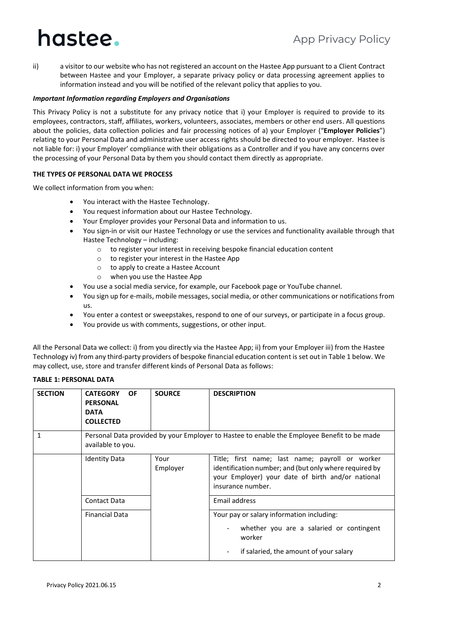ii) a visitor to our website who has not registered an account on the Hastee App pursuant to a Client Contract between Hastee and your Employer, a separate privacy policy or data processing agreement applies to information instead and you will be notified of the relevant policy that applies to you.

### *Important Information regarding Employers and Organisations*

This Privacy Policy is not a substitute for any privacy notice that i) your Employer is required to provide to its employees, contractors, staff, affiliates, workers, volunteers, associates, members or other end users. All questions about the policies, data collection policies and fair processing notices of a) your Employer ("**Employer Policies**") relating to your Personal Data and administrative user access rights should be directed to your employer. Hastee is not liable for: i) your Employer' compliance with their obligations as a Controller and if you have any concerns over the processing of your Personal Data by them you should contact them directly as appropriate.

### **THE TYPES OF PERSONAL DATA WE PROCESS**

We collect information from you when:

- You interact with the Hastee Technology.
- You request information about our Hastee Technology.
- Your Employer provides your Personal Data and information to us.
- You sign-in or visit our Hastee Technology or use the services and functionality available through that Hastee Technology – including:
	- o to register your interest in receiving bespoke financial education content
	- o to register your interest in the Hastee App
	- o to apply to create a Hastee Account
	- o when you use the Hastee App
- You use a social media service, for example, our Facebook page or YouTube channel.
- You sign up for e-mails, mobile messages, social media, or other communications or notifications from us.
- You enter a contest or sweepstakes, respond to one of our surveys, or participate in a focus group.
- You provide us with comments, suggestions, or other input.

All the Personal Data we collect: i) from you directly via the Hastee App; ii) from your Employer iii) from the Hastee Technology iv) from any third-party providers of bespoke financial education content is set out in Table 1 below. We may collect, use, store and transfer different kinds of Personal Data as follows:

### **TABLE 1: PERSONAL DATA**

| <b>SECTION</b> | <b>OF</b><br><b>CATEGORY</b><br><b>PERSONAL</b><br><b>DATA</b><br><b>COLLECTED</b> | <b>SOURCE</b>    | <b>DESCRIPTION</b>                                                                                                                                                                  |
|----------------|------------------------------------------------------------------------------------|------------------|-------------------------------------------------------------------------------------------------------------------------------------------------------------------------------------|
| 1              | available to you.                                                                  |                  | Personal Data provided by your Employer to Hastee to enable the Employee Benefit to be made                                                                                         |
|                | <b>Identity Data</b>                                                               | Your<br>Employer | Title; first name; last name; payroll or worker<br>identification number; and (but only where required by<br>your Employer) your date of birth and/or national<br>insurance number. |
|                | Contact Data                                                                       |                  | Email address                                                                                                                                                                       |
|                | <b>Financial Data</b>                                                              |                  | Your pay or salary information including:<br>whether you are a salaried or contingent<br>worker<br>if salaried, the amount of your salary                                           |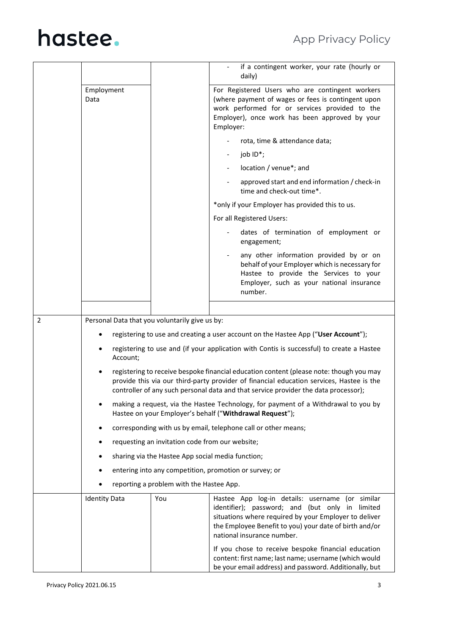|   |                                                          |                                                   | if a contingent worker, your rate (hourly or<br>daily)                                                                                                                                                                                                                     |
|---|----------------------------------------------------------|---------------------------------------------------|----------------------------------------------------------------------------------------------------------------------------------------------------------------------------------------------------------------------------------------------------------------------------|
|   | Employment<br>Data                                       |                                                   | For Registered Users who are contingent workers<br>(where payment of wages or fees is contingent upon<br>work performed for or services provided to the<br>Employer), once work has been approved by your<br>Employer:                                                     |
|   |                                                          |                                                   | rota, time & attendance data;                                                                                                                                                                                                                                              |
|   |                                                          |                                                   | job ID*;                                                                                                                                                                                                                                                                   |
|   |                                                          |                                                   | location / venue*; and                                                                                                                                                                                                                                                     |
|   |                                                          |                                                   | approved start and end information / check-in<br>time and check-out time*.                                                                                                                                                                                                 |
|   |                                                          |                                                   | *only if your Employer has provided this to us.                                                                                                                                                                                                                            |
|   |                                                          |                                                   | For all Registered Users:                                                                                                                                                                                                                                                  |
|   |                                                          |                                                   | dates of termination of employment or<br>engagement;                                                                                                                                                                                                                       |
|   |                                                          |                                                   | any other information provided by or on<br>behalf of your Employer which is necessary for<br>Hastee to provide the Services to your<br>Employer, such as your national insurance<br>number.                                                                                |
|   |                                                          |                                                   |                                                                                                                                                                                                                                                                            |
| 2 | Personal Data that you voluntarily give us by:           |                                                   |                                                                                                                                                                                                                                                                            |
|   |                                                          |                                                   | registering to use and creating a user account on the Hastee App ("User Account");                                                                                                                                                                                         |
|   | Account;                                                 |                                                   | registering to use and (if your application with Contis is successful) to create a Hastee                                                                                                                                                                                  |
|   |                                                          |                                                   | registering to receive bespoke financial education content (please note: though you may<br>provide this via our third-party provider of financial education services, Hastee is the<br>controller of any such personal data and that service provider the data processor); |
|   | Hastee on your Employer's behalf ("Withdrawal Request"); |                                                   | making a request, via the Hastee Technology, for payment of a Withdrawal to you by                                                                                                                                                                                         |
|   |                                                          |                                                   | corresponding with us by email, telephone call or other means;                                                                                                                                                                                                             |
|   | $\bullet$                                                | requesting an invitation code from our website;   |                                                                                                                                                                                                                                                                            |
|   |                                                          | sharing via the Hastee App social media function; |                                                                                                                                                                                                                                                                            |
|   |                                                          |                                                   | entering into any competition, promotion or survey; or                                                                                                                                                                                                                     |
|   |                                                          | reporting a problem with the Hastee App.          |                                                                                                                                                                                                                                                                            |
|   | <b>Identity Data</b>                                     | You                                               | Hastee App log-in details: username (or similar<br>identifier); password; and (but only in limited<br>situations where required by your Employer to deliver<br>the Employee Benefit to you) your date of birth and/or<br>national insurance number.                        |
|   |                                                          |                                                   | If you chose to receive bespoke financial education<br>content: first name; last name; username (which would                                                                                                                                                               |

be your email address) and password. Additionally, but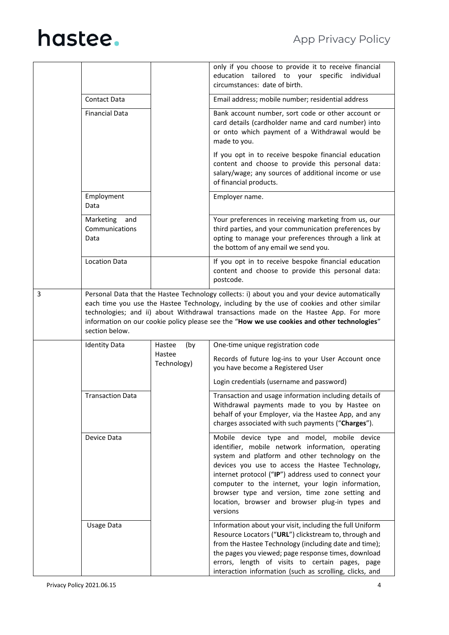|   |                                            |                       | only if you choose to provide it to receive financial<br>education tailored to your specific individual<br>circumstances: date of birth.                                                                                                                                                                                                                                                                                                |
|---|--------------------------------------------|-----------------------|-----------------------------------------------------------------------------------------------------------------------------------------------------------------------------------------------------------------------------------------------------------------------------------------------------------------------------------------------------------------------------------------------------------------------------------------|
|   | <b>Contact Data</b>                        |                       | Email address; mobile number; residential address                                                                                                                                                                                                                                                                                                                                                                                       |
|   | <b>Financial Data</b>                      |                       | Bank account number, sort code or other account or<br>card details (cardholder name and card number) into<br>or onto which payment of a Withdrawal would be<br>made to you.                                                                                                                                                                                                                                                             |
|   |                                            |                       | If you opt in to receive bespoke financial education<br>content and choose to provide this personal data:<br>salary/wage; any sources of additional income or use<br>of financial products.                                                                                                                                                                                                                                             |
|   | Employment<br>Data                         |                       | Employer name.                                                                                                                                                                                                                                                                                                                                                                                                                          |
|   | Marketing<br>and<br>Communications<br>Data |                       | Your preferences in receiving marketing from us, our<br>third parties, and your communication preferences by<br>opting to manage your preferences through a link at<br>the bottom of any email we send you.                                                                                                                                                                                                                             |
|   | <b>Location Data</b>                       |                       | If you opt in to receive bespoke financial education<br>content and choose to provide this personal data:<br>postcode.                                                                                                                                                                                                                                                                                                                  |
| 3 | section below.                             |                       | Personal Data that the Hastee Technology collects: i) about you and your device automatically<br>each time you use the Hastee Technology, including by the use of cookies and other similar<br>technologies; and ii) about Withdrawal transactions made on the Hastee App. For more<br>information on our cookie policy please see the "How we use cookies and other technologies"                                                      |
|   | <b>Identity Data</b>                       | Hastee<br>(by         | One-time unique registration code                                                                                                                                                                                                                                                                                                                                                                                                       |
|   |                                            | Hastee<br>Technology) | Records of future log-ins to your User Account once<br>you have become a Registered User                                                                                                                                                                                                                                                                                                                                                |
|   |                                            |                       | Login credentials (username and password)                                                                                                                                                                                                                                                                                                                                                                                               |
|   | <b>Transaction Data</b>                    |                       | Transaction and usage information including details of<br>Withdrawal payments made to you by Hastee on<br>behalf of your Employer, via the Hastee App, and any<br>charges associated with such payments ("Charges").                                                                                                                                                                                                                    |
|   | Device Data                                |                       | Mobile device type and model, mobile device<br>identifier, mobile network information, operating<br>system and platform and other technology on the<br>devices you use to access the Hastee Technology,<br>internet protocol ("IP") address used to connect your<br>computer to the internet, your login information,<br>browser type and version, time zone setting and<br>location, browser and browser plug-in types and<br>versions |
|   | <b>Usage Data</b>                          |                       | Information about your visit, including the full Uniform<br>Resource Locators ("URL") clickstream to, through and<br>from the Hastee Technology (including date and time);<br>the pages you viewed; page response times, download<br>errors, length of visits to certain pages, page<br>interaction information (such as scrolling, clicks, and                                                                                         |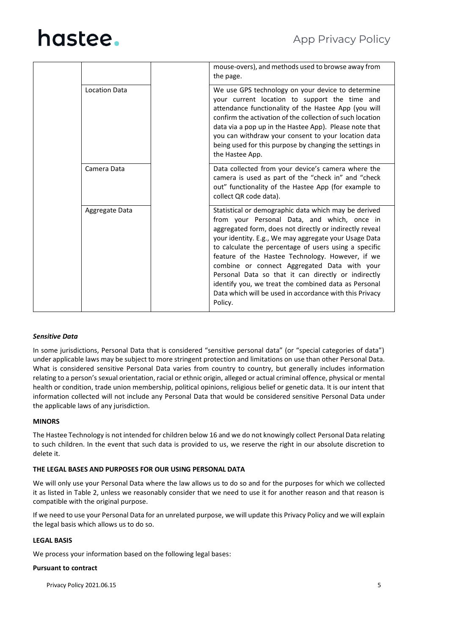|  |                |  | mouse-overs), and methods used to browse away from<br>the page.                                                                                                                                                                                                                                                                                                                                                                                                                                                                                                           |
|--|----------------|--|---------------------------------------------------------------------------------------------------------------------------------------------------------------------------------------------------------------------------------------------------------------------------------------------------------------------------------------------------------------------------------------------------------------------------------------------------------------------------------------------------------------------------------------------------------------------------|
|  | Location Data  |  | We use GPS technology on your device to determine<br>your current location to support the time and<br>attendance functionality of the Hastee App (you will<br>confirm the activation of the collection of such location<br>data via a pop up in the Hastee App). Please note that<br>you can withdraw your consent to your location data<br>being used for this purpose by changing the settings in<br>the Hastee App.                                                                                                                                                    |
|  | Camera Data    |  | Data collected from your device's camera where the<br>camera is used as part of the "check in" and "check<br>out" functionality of the Hastee App (for example to<br>collect QR code data).                                                                                                                                                                                                                                                                                                                                                                               |
|  | Aggregate Data |  | Statistical or demographic data which may be derived<br>from your Personal Data, and which, once in<br>aggregated form, does not directly or indirectly reveal<br>your identity. E.g., We may aggregate your Usage Data<br>to calculate the percentage of users using a specific<br>feature of the Hastee Technology. However, if we<br>combine or connect Aggregated Data with your<br>Personal Data so that it can directly or indirectly<br>identify you, we treat the combined data as Personal<br>Data which will be used in accordance with this Privacy<br>Policy. |

### *Sensitive Data*

In some jurisdictions, Personal Data that is considered "sensitive personal data" (or "special categories of data") under applicable laws may be subject to more stringent protection and limitations on use than other Personal Data. What is considered sensitive Personal Data varies from country to country, but generally includes information relating to a person's sexual orientation, racial or ethnic origin, alleged or actual criminal offence, physical or mental health or condition, trade union membership, political opinions, religious belief or genetic data. It is our intent that information collected will not include any Personal Data that would be considered sensitive Personal Data under the applicable laws of any jurisdiction.

### **MINORS**

The Hastee Technology is not intended for children below 16 and we do not knowingly collect Personal Data relating to such children. In the event that such data is provided to us, we reserve the right in our absolute discretion to delete it.

### **THE LEGAL BASES AND PURPOSES FOR OUR USING PERSONAL DATA**

We will only use your Personal Data where the law allows us to do so and for the purposes for which we collected it as listed in Table 2, unless we reasonably consider that we need to use it for another reason and that reason is compatible with the original purpose.

If we need to use your Personal Data for an unrelated purpose, we will update this Privacy Policy and we will explain the legal basis which allows us to do so.

### **LEGAL BASIS**

We process your information based on the following legal bases:

### **Pursuant to contract**

Privacy Policy 2021.06.15 **5**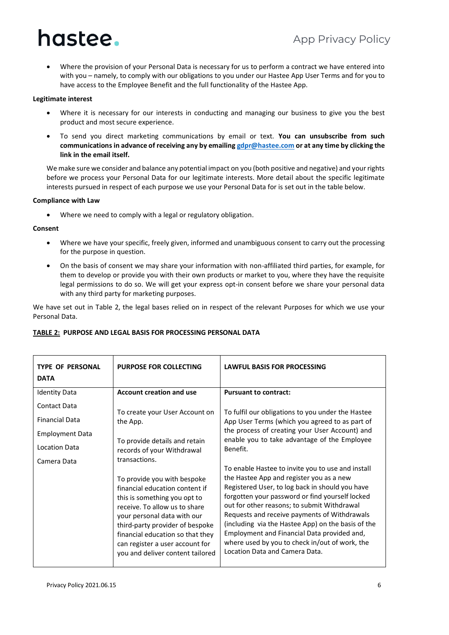• Where the provision of your Personal Data is necessary for us to perform a contract we have entered into with you – namely, to comply with our obligations to you under our Hastee App User Terms and for you to have access to the Employee Benefit and the full functionality of the Hastee App.

### **Legitimate interest**

- Where it is necessary for our interests in conducting and managing our business to give you the best product and most secure experience.
- To send you direct marketing communications by email or text. **You can unsubscribe from such communications in advance of receiving any by emailin[g gdpr@hastee.com](mailto:gdpr@hastee.com) or at any time by clicking the link in the email itself.**

We make sure we consider and balance any potential impact on you (both positive and negative) and your rights before we process your Personal Data for our legitimate interests. More detail about the specific legitimate interests pursued in respect of each purpose we use your Personal Data for is set out in the table below.

### **Compliance with Law**

• Where we need to comply with a legal or regulatory obligation.

### **Consent**

- Where we have your specific, freely given, informed and unambiguous consent to carry out the processing for the purpose in question.
- On the basis of consent we may share your information with non-affiliated third parties, for example, for them to develop or provide you with their own products or market to you, where they have the requisite legal permissions to do so. We will get your express opt-in consent before we share your personal data with any third party for marketing purposes.

We have set out in Table 2, the legal bases relied on in respect of the relevant Purposes for which we use your Personal Data.

| <b>TYPE OF PERSONAL</b><br><b>DATA</b> | <b>PURPOSE FOR COLLECTING</b>                                                                                                                                                                                                                                                                               | <b>LAWFUL BASIS FOR PROCESSING</b>                                                                                                                                                                                                                                                                                                                                                                                                                                                          |
|----------------------------------------|-------------------------------------------------------------------------------------------------------------------------------------------------------------------------------------------------------------------------------------------------------------------------------------------------------------|---------------------------------------------------------------------------------------------------------------------------------------------------------------------------------------------------------------------------------------------------------------------------------------------------------------------------------------------------------------------------------------------------------------------------------------------------------------------------------------------|
| <b>Identity Data</b>                   | <b>Account creation and use</b>                                                                                                                                                                                                                                                                             | <b>Pursuant to contract:</b>                                                                                                                                                                                                                                                                                                                                                                                                                                                                |
| Contact Data                           | To create your User Account on                                                                                                                                                                                                                                                                              | To fulfil our obligations to you under the Hastee                                                                                                                                                                                                                                                                                                                                                                                                                                           |
| <b>Financial Data</b>                  | the App.                                                                                                                                                                                                                                                                                                    | App User Terms (which you agreed to as part of                                                                                                                                                                                                                                                                                                                                                                                                                                              |
| <b>Employment Data</b>                 |                                                                                                                                                                                                                                                                                                             | the process of creating your User Account) and<br>enable you to take advantage of the Employee                                                                                                                                                                                                                                                                                                                                                                                              |
| <b>Location Data</b>                   | To provide details and retain<br>records of your Withdrawal                                                                                                                                                                                                                                                 | Benefit.                                                                                                                                                                                                                                                                                                                                                                                                                                                                                    |
| Camera Data                            | transactions.                                                                                                                                                                                                                                                                                               |                                                                                                                                                                                                                                                                                                                                                                                                                                                                                             |
|                                        | To provide you with bespoke<br>financial education content if<br>this is something you opt to<br>receive. To allow us to share<br>your personal data with our<br>third-party provider of bespoke<br>financial education so that they<br>can register a user account for<br>you and deliver content tailored | To enable Hastee to invite you to use and install<br>the Hastee App and register you as a new<br>Registered User, to log back in should you have<br>forgotten your password or find yourself locked<br>out for other reasons; to submit Withdrawal<br>Requests and receive payments of Withdrawals<br>(including via the Hastee App) on the basis of the<br>Employment and Financial Data provided and,<br>where used by you to check in/out of work, the<br>Location Data and Camera Data. |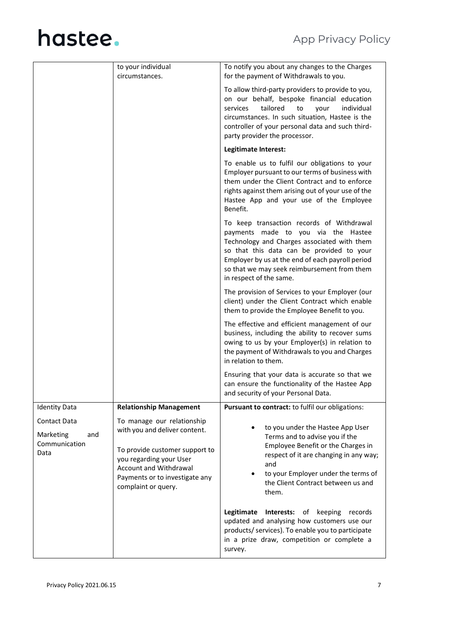|                                                                  | to your individual<br>circumstances.                                                                                                                                                                        | To notify you about any changes to the Charges<br>for the payment of Withdrawals to you.                                                                                                                                                                                                                   |
|------------------------------------------------------------------|-------------------------------------------------------------------------------------------------------------------------------------------------------------------------------------------------------------|------------------------------------------------------------------------------------------------------------------------------------------------------------------------------------------------------------------------------------------------------------------------------------------------------------|
|                                                                  |                                                                                                                                                                                                             | To allow third-party providers to provide to you,<br>on our behalf, bespoke financial education<br>tailored<br>individual<br>services<br>your<br>to<br>circumstances. In such situation, Hastee is the<br>controller of your personal data and such third-<br>party provider the processor.                |
|                                                                  |                                                                                                                                                                                                             | Legitimate Interest:                                                                                                                                                                                                                                                                                       |
|                                                                  |                                                                                                                                                                                                             | To enable us to fulfil our obligations to your<br>Employer pursuant to our terms of business with<br>them under the Client Contract and to enforce<br>rights against them arising out of your use of the<br>Hastee App and your use of the Employee<br>Benefit.                                            |
|                                                                  |                                                                                                                                                                                                             | To keep transaction records of Withdrawal<br>payments made to you via the Hastee<br>Technology and Charges associated with them<br>so that this data can be provided to your<br>Employer by us at the end of each payroll period<br>so that we may seek reimbursement from them<br>in respect of the same. |
|                                                                  |                                                                                                                                                                                                             | The provision of Services to your Employer (our<br>client) under the Client Contract which enable<br>them to provide the Employee Benefit to you.                                                                                                                                                          |
|                                                                  |                                                                                                                                                                                                             | The effective and efficient management of our<br>business, including the ability to recover sums<br>owing to us by your Employer(s) in relation to<br>the payment of Withdrawals to you and Charges<br>in relation to them.                                                                                |
|                                                                  |                                                                                                                                                                                                             | Ensuring that your data is accurate so that we<br>can ensure the functionality of the Hastee App<br>and security of your Personal Data.                                                                                                                                                                    |
| <b>Identity Data</b>                                             | <b>Relationship Management</b>                                                                                                                                                                              | Pursuant to contract: to fulfil our obligations:                                                                                                                                                                                                                                                           |
| <b>Contact Data</b><br>Marketing<br>and<br>Communication<br>Data | To manage our relationship<br>with you and deliver content.<br>To provide customer support to<br>you regarding your User<br>Account and Withdrawal<br>Payments or to investigate any<br>complaint or query. | to you under the Hastee App User<br>Terms and to advise you if the<br>Employee Benefit or the Charges in<br>respect of it are changing in any way;<br>and<br>to your Employer under the terms of<br>the Client Contract between us and<br>them.                                                            |
|                                                                  |                                                                                                                                                                                                             | Legitimate<br>Interests:<br>of<br>keeping<br>records<br>updated and analysing how customers use our<br>products/ services). To enable you to participate<br>in a prize draw, competition or complete a<br>survey.                                                                                          |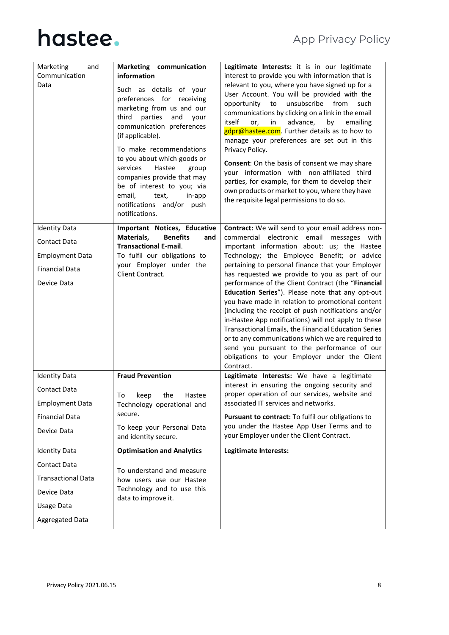| Marketing<br>and          | Marketing communication                                                                                                                                                                                                                                                                                                                                                                                | Legitimate Interests: it is in our legitimate                                                                                                                                                                                                                                                                                                                                                                                                                                                                                                                                                                                  |
|---------------------------|--------------------------------------------------------------------------------------------------------------------------------------------------------------------------------------------------------------------------------------------------------------------------------------------------------------------------------------------------------------------------------------------------------|--------------------------------------------------------------------------------------------------------------------------------------------------------------------------------------------------------------------------------------------------------------------------------------------------------------------------------------------------------------------------------------------------------------------------------------------------------------------------------------------------------------------------------------------------------------------------------------------------------------------------------|
| Communication             | information                                                                                                                                                                                                                                                                                                                                                                                            | interest to provide you with information that is                                                                                                                                                                                                                                                                                                                                                                                                                                                                                                                                                                               |
| Data                      | Such as details of your<br>preferences for receiving<br>marketing from us and our<br>parties<br>and<br>third<br>your<br>communication preferences<br>(if applicable).<br>To make recommendations<br>to you about which goods or<br>services<br>Hastee<br>group<br>companies provide that may<br>be of interest to you; via<br>email,<br>text,<br>in-app<br>notifications and/or push<br>notifications. | relevant to you, where you have signed up for a<br>User Account. You will be provided with the<br>opportunity to unsubscribe from<br>such<br>communications by clicking on a link in the email<br>itself<br>advance,<br>by<br>or,<br>in<br>emailing<br>gdpr@hastee.com. Further details as to how to<br>manage your preferences are set out in this<br>Privacy Policy.<br><b>Consent:</b> On the basis of consent we may share<br>your information with non-affiliated third<br>parties, for example, for them to develop their<br>own products or market to you, where they have<br>the requisite legal permissions to do so. |
| <b>Identity Data</b>      | Important Notices, Educative                                                                                                                                                                                                                                                                                                                                                                           | Contract: We will send to your email address non-                                                                                                                                                                                                                                                                                                                                                                                                                                                                                                                                                                              |
| <b>Contact Data</b>       | Materials,<br><b>Benefits</b><br>and<br><b>Transactional E-mail.</b>                                                                                                                                                                                                                                                                                                                                   | commercial electronic email messages with<br>important information about: us; the Hastee                                                                                                                                                                                                                                                                                                                                                                                                                                                                                                                                       |
| <b>Employment Data</b>    | To fulfil our obligations to                                                                                                                                                                                                                                                                                                                                                                           | Technology; the Employee Benefit; or advice                                                                                                                                                                                                                                                                                                                                                                                                                                                                                                                                                                                    |
| <b>Financial Data</b>     | your Employer under the<br>Client Contract.                                                                                                                                                                                                                                                                                                                                                            | pertaining to personal finance that your Employer<br>has requested we provide to you as part of our                                                                                                                                                                                                                                                                                                                                                                                                                                                                                                                            |
| Device Data               |                                                                                                                                                                                                                                                                                                                                                                                                        | performance of the Client Contract (the "Financial                                                                                                                                                                                                                                                                                                                                                                                                                                                                                                                                                                             |
|                           |                                                                                                                                                                                                                                                                                                                                                                                                        | Education Series"). Please note that any opt-out<br>you have made in relation to promotional content<br>(including the receipt of push notifications and/or<br>in-Hastee App notifications) will not apply to these<br>Transactional Emails, the Financial Education Series<br>or to any communications which we are required to<br>send you pursuant to the performance of our<br>obligations to your Employer under the Client<br>Contract.                                                                                                                                                                                  |
| <b>Identity Data</b>      | <b>Fraud Prevention</b>                                                                                                                                                                                                                                                                                                                                                                                | Legitimate Interests: We have a legitimate<br>interest in ensuring the ongoing security and                                                                                                                                                                                                                                                                                                                                                                                                                                                                                                                                    |
| <b>Contact Data</b>       | To<br>the<br>keep<br>Hastee                                                                                                                                                                                                                                                                                                                                                                            | proper operation of our services, website and                                                                                                                                                                                                                                                                                                                                                                                                                                                                                                                                                                                  |
| <b>Employment Data</b>    | Technology operational and                                                                                                                                                                                                                                                                                                                                                                             | associated IT services and networks.                                                                                                                                                                                                                                                                                                                                                                                                                                                                                                                                                                                           |
| <b>Financial Data</b>     | secure.                                                                                                                                                                                                                                                                                                                                                                                                | Pursuant to contract: To fulfil our obligations to<br>you under the Hastee App User Terms and to                                                                                                                                                                                                                                                                                                                                                                                                                                                                                                                               |
| Device Data               | To keep your Personal Data<br>and identity secure.                                                                                                                                                                                                                                                                                                                                                     | your Employer under the Client Contract.                                                                                                                                                                                                                                                                                                                                                                                                                                                                                                                                                                                       |
| <b>Identity Data</b>      | <b>Optimisation and Analytics</b>                                                                                                                                                                                                                                                                                                                                                                      | Legitimate Interests:                                                                                                                                                                                                                                                                                                                                                                                                                                                                                                                                                                                                          |
| Contact Data              | To understand and measure                                                                                                                                                                                                                                                                                                                                                                              |                                                                                                                                                                                                                                                                                                                                                                                                                                                                                                                                                                                                                                |
| <b>Transactional Data</b> | how users use our Hastee                                                                                                                                                                                                                                                                                                                                                                               |                                                                                                                                                                                                                                                                                                                                                                                                                                                                                                                                                                                                                                |
| Device Data               | Technology and to use this<br>data to improve it.                                                                                                                                                                                                                                                                                                                                                      |                                                                                                                                                                                                                                                                                                                                                                                                                                                                                                                                                                                                                                |
| Usage Data                |                                                                                                                                                                                                                                                                                                                                                                                                        |                                                                                                                                                                                                                                                                                                                                                                                                                                                                                                                                                                                                                                |
| <b>Aggregated Data</b>    |                                                                                                                                                                                                                                                                                                                                                                                                        |                                                                                                                                                                                                                                                                                                                                                                                                                                                                                                                                                                                                                                |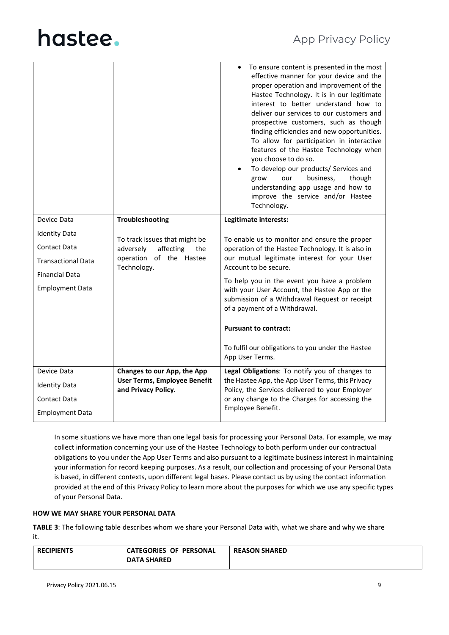|                           |                                                     | To ensure content is presented in the most<br>effective manner for your device and the<br>proper operation and improvement of the<br>Hastee Technology. It is in our legitimate<br>interest to better understand how to<br>deliver our services to our customers and<br>prospective customers, such as though<br>finding efficiencies and new opportunities.<br>To allow for participation in interactive<br>features of the Hastee Technology when<br>you choose to do so.<br>To develop our products/ Services and<br>business,<br>grow<br>though<br>our<br>understanding app usage and how to<br>improve the service and/or Hastee<br>Technology. |
|---------------------------|-----------------------------------------------------|------------------------------------------------------------------------------------------------------------------------------------------------------------------------------------------------------------------------------------------------------------------------------------------------------------------------------------------------------------------------------------------------------------------------------------------------------------------------------------------------------------------------------------------------------------------------------------------------------------------------------------------------------|
| Device Data               | Troubleshooting                                     | Legitimate interests:                                                                                                                                                                                                                                                                                                                                                                                                                                                                                                                                                                                                                                |
| <b>Identity Data</b>      | To track issues that might be                       |                                                                                                                                                                                                                                                                                                                                                                                                                                                                                                                                                                                                                                                      |
| <b>Contact Data</b>       | affecting<br>adversely<br>the                       | To enable us to monitor and ensure the proper<br>operation of the Hastee Technology. It is also in                                                                                                                                                                                                                                                                                                                                                                                                                                                                                                                                                   |
| <b>Transactional Data</b> | operation of the Hastee<br>Technology.              | our mutual legitimate interest for your User<br>Account to be secure.                                                                                                                                                                                                                                                                                                                                                                                                                                                                                                                                                                                |
| <b>Financial Data</b>     |                                                     | To help you in the event you have a problem                                                                                                                                                                                                                                                                                                                                                                                                                                                                                                                                                                                                          |
| <b>Employment Data</b>    |                                                     | with your User Account, the Hastee App or the<br>submission of a Withdrawal Request or receipt<br>of a payment of a Withdrawal.                                                                                                                                                                                                                                                                                                                                                                                                                                                                                                                      |
|                           |                                                     | <b>Pursuant to contract:</b>                                                                                                                                                                                                                                                                                                                                                                                                                                                                                                                                                                                                                         |
|                           |                                                     | To fulfil our obligations to you under the Hastee<br>App User Terms.                                                                                                                                                                                                                                                                                                                                                                                                                                                                                                                                                                                 |
| Device Data               | Changes to our App, the App                         | Legal Obligations: To notify you of changes to                                                                                                                                                                                                                                                                                                                                                                                                                                                                                                                                                                                                       |
| <b>Identity Data</b>      | User Terms, Employee Benefit<br>and Privacy Policy. | the Hastee App, the App User Terms, this Privacy<br>Policy, the Services delivered to your Employer                                                                                                                                                                                                                                                                                                                                                                                                                                                                                                                                                  |
| <b>Contact Data</b>       |                                                     | or any change to the Charges for accessing the                                                                                                                                                                                                                                                                                                                                                                                                                                                                                                                                                                                                       |
| <b>Employment Data</b>    |                                                     | Employee Benefit.                                                                                                                                                                                                                                                                                                                                                                                                                                                                                                                                                                                                                                    |

In some situations we have more than one legal basis for processing your Personal Data. For example, we may collect information concerning your use of the Hastee Technology to both perform under our contractual obligations to you under the App User Terms and also pursuant to a legitimate business interest in maintaining your information for record keeping purposes. As a result, our collection and processing of your Personal Data is based, in different contexts, upon different legal bases. Please contact us by using the contact information provided at the end of this Privacy Policy to learn more about the purposes for which we use any specific types of your Personal Data.

### **HOW WE MAY SHARE YOUR PERSONAL DATA**

**TABLE 3**: The following table describes whom we share your Personal Data with, what we share and why we share it.

| <b>RECIPIENTS</b> | <b>CATEGORIES OF PERSONAL</b> | <b>REASON SHARED</b> |
|-------------------|-------------------------------|----------------------|
|                   | <b>DATA SHARED</b>            |                      |
|                   |                               |                      |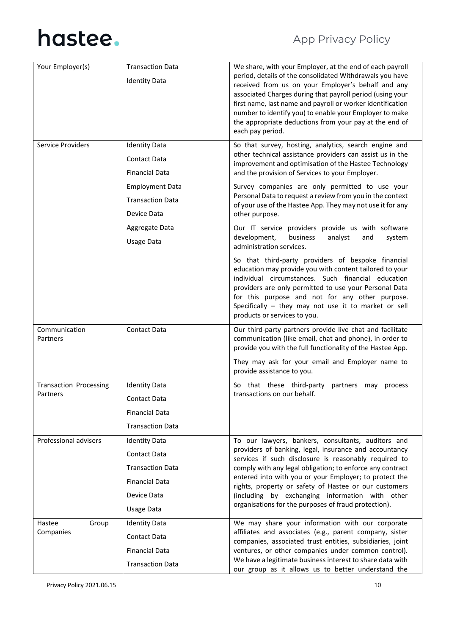| Your Employer(s)                          | <b>Transaction Data</b><br><b>Identity Data</b>                                                                                          | We share, with your Employer, at the end of each payroll<br>period, details of the consolidated Withdrawals you have<br>received from us on your Employer's behalf and any<br>associated Charges during that payroll period (using your<br>first name, last name and payroll or worker identification<br>number to identify you) to enable your Employer to make<br>the appropriate deductions from your pay at the end of<br>each pay period.                   |
|-------------------------------------------|------------------------------------------------------------------------------------------------------------------------------------------|------------------------------------------------------------------------------------------------------------------------------------------------------------------------------------------------------------------------------------------------------------------------------------------------------------------------------------------------------------------------------------------------------------------------------------------------------------------|
| Service Providers                         | <b>Identity Data</b><br><b>Contact Data</b><br><b>Financial Data</b><br><b>Employment Data</b><br><b>Transaction Data</b><br>Device Data | So that survey, hosting, analytics, search engine and<br>other technical assistance providers can assist us in the<br>improvement and optimisation of the Hastee Technology<br>and the provision of Services to your Employer.<br>Survey companies are only permitted to use your<br>Personal Data to request a review from you in the context<br>of your use of the Hastee App. They may not use it for any<br>other purpose.                                   |
|                                           | Aggregate Data<br><b>Usage Data</b>                                                                                                      | Our IT service providers provide us with software<br>development,<br>business<br>analyst<br>system<br>and<br>administration services.                                                                                                                                                                                                                                                                                                                            |
|                                           |                                                                                                                                          | So that third-party providers of bespoke financial<br>education may provide you with content tailored to your<br>individual circumstances. Such financial education<br>providers are only permitted to use your Personal Data<br>for this purpose and not for any other purpose.<br>Specifically - they may not use it to market or sell<br>products or services to you.                                                                                         |
| Communication<br>Partners                 | <b>Contact Data</b>                                                                                                                      | Our third-party partners provide live chat and facilitate<br>communication (like email, chat and phone), in order to<br>provide you with the full functionality of the Hastee App.<br>They may ask for your email and Employer name to<br>provide assistance to you.                                                                                                                                                                                             |
| <b>Transaction Processing</b><br>Partners | <b>Identity Data</b><br>Contact Data<br><b>Financial Data</b><br><b>Transaction Data</b>                                                 | So that these third-party<br>partners may process<br>transactions on our behalf.                                                                                                                                                                                                                                                                                                                                                                                 |
| Professional advisers                     | <b>Identity Data</b><br><b>Contact Data</b><br><b>Transaction Data</b><br><b>Financial Data</b><br>Device Data<br>Usage Data             | To our lawyers, bankers, consultants, auditors and<br>providers of banking, legal, insurance and accountancy<br>services if such disclosure is reasonably required to<br>comply with any legal obligation; to enforce any contract<br>entered into with you or your Employer; to protect the<br>rights, property or safety of Hastee or our customers<br>(including by exchanging information with other<br>organisations for the purposes of fraud protection). |
| Hastee<br>Group<br>Companies              | <b>Identity Data</b><br><b>Contact Data</b><br><b>Financial Data</b><br><b>Transaction Data</b>                                          | We may share your information with our corporate<br>affiliates and associates (e.g., parent company, sister<br>companies, associated trust entities, subsidiaries, joint<br>ventures, or other companies under common control).<br>We have a legitimate business interest to share data with<br>our group as it allows us to better understand the                                                                                                               |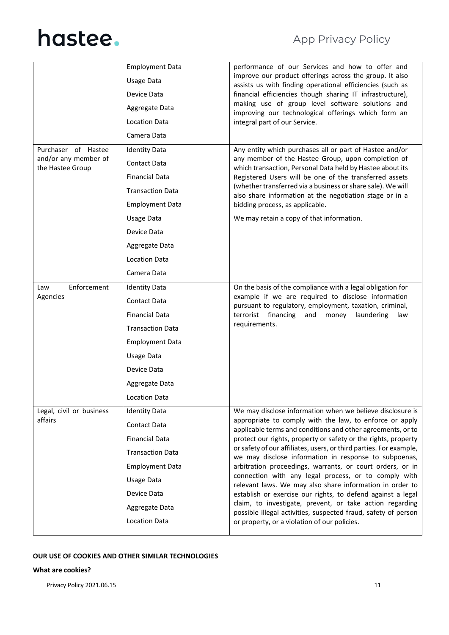|                                          | <b>Employment Data</b>  | performance of our Services and how to offer and                                                                            |
|------------------------------------------|-------------------------|-----------------------------------------------------------------------------------------------------------------------------|
|                                          | Usage Data              | improve our product offerings across the group. It also<br>assists us with finding operational efficiencies (such as        |
|                                          | Device Data             | financial efficiencies though sharing IT infrastructure),                                                                   |
|                                          | Aggregate Data          | making use of group level software solutions and<br>improving our technological offerings which form an                     |
|                                          | <b>Location Data</b>    | integral part of our Service.                                                                                               |
|                                          | Camera Data             |                                                                                                                             |
| Purchaser of Hastee                      | <b>Identity Data</b>    | Any entity which purchases all or part of Hastee and/or                                                                     |
| and/or any member of<br>the Hastee Group | <b>Contact Data</b>     | any member of the Hastee Group, upon completion of<br>which transaction, Personal Data held by Hastee about its             |
|                                          | <b>Financial Data</b>   | Registered Users will be one of the transferred assets                                                                      |
|                                          | <b>Transaction Data</b> | (whether transferred via a business or share sale). We will<br>also share information at the negotiation stage or in a      |
|                                          | <b>Employment Data</b>  | bidding process, as applicable.                                                                                             |
|                                          | Usage Data              | We may retain a copy of that information.                                                                                   |
|                                          | Device Data             |                                                                                                                             |
|                                          | Aggregate Data          |                                                                                                                             |
|                                          | <b>Location Data</b>    |                                                                                                                             |
|                                          | Camera Data             |                                                                                                                             |
| Enforcement<br>Law                       | <b>Identity Data</b>    | On the basis of the compliance with a legal obligation for                                                                  |
| Agencies                                 | <b>Contact Data</b>     | example if we are required to disclose information<br>pursuant to regulatory, employment, taxation, criminal,               |
|                                          | <b>Financial Data</b>   | terrorist financing<br>and<br>money<br>laundering<br>law                                                                    |
|                                          | <b>Transaction Data</b> | requirements.                                                                                                               |
|                                          | <b>Employment Data</b>  |                                                                                                                             |
|                                          | <b>Usage Data</b>       |                                                                                                                             |
|                                          | Device Data             |                                                                                                                             |
|                                          | Aggregate Data          |                                                                                                                             |
|                                          | <b>Location Data</b>    |                                                                                                                             |
| Legal, civil or business                 | <b>Identity Data</b>    | We may disclose information when we believe disclosure is                                                                   |
| affairs                                  | Contact Data            | appropriate to comply with the law, to enforce or apply<br>applicable terms and conditions and other agreements, or to      |
|                                          | <b>Financial Data</b>   | protect our rights, property or safety or the rights, property                                                              |
|                                          | <b>Transaction Data</b> | or safety of our affiliates, users, or third parties. For example,<br>we may disclose information in response to subpoenas, |
|                                          | <b>Employment Data</b>  | arbitration proceedings, warrants, or court orders, or in                                                                   |
|                                          | <b>Usage Data</b>       | connection with any legal process, or to comply with<br>relevant laws. We may also share information in order to            |
|                                          | Device Data             | establish or exercise our rights, to defend against a legal                                                                 |
|                                          | Aggregate Data          | claim, to investigate, prevent, or take action regarding<br>possible illegal activities, suspected fraud, safety of person  |
|                                          | <b>Location Data</b>    | or property, or a violation of our policies.                                                                                |

### **OUR USE OF COOKIES AND OTHER SIMILAR TECHNOLOGIES**

### **What are cookies?**

Privacy Policy 2021.06.15 11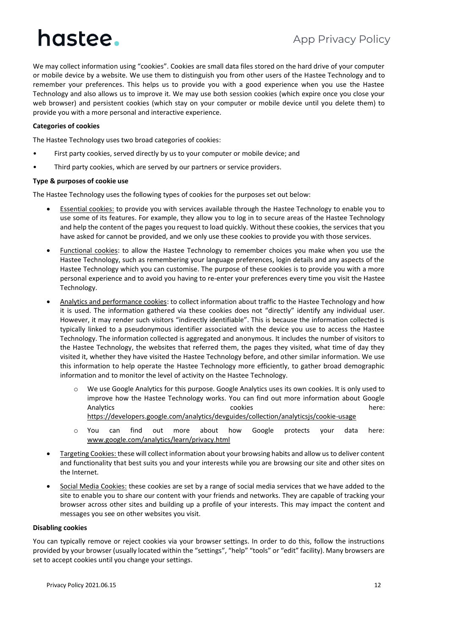### App Privacy Policy

We may collect information using "cookies". Cookies are small data files stored on the hard drive of your computer or mobile device by a website. We use them to distinguish you from other users of the Hastee Technology and to remember your preferences. This helps us to provide you with a good experience when you use the Hastee Technology and also allows us to improve it. We may use both session cookies (which expire once you close your web browser) and persistent cookies (which stay on your computer or mobile device until you delete them) to provide you with a more personal and interactive experience.

### **Categories of cookies**

The Hastee Technology uses two broad categories of cookies:

- First party cookies, served directly by us to your computer or mobile device; and
- Third party cookies, which are served by our partners or service providers.

#### **Type & purposes of cookie use**

The Hastee Technology uses the following types of cookies for the purposes set out below:

- Essential cookies: to provide you with services available through the Hastee Technology to enable you to use some of its features. For example, they allow you to log in to secure areas of the Hastee Technology and help the content of the pages you request to load quickly. Without these cookies, the services that you have asked for cannot be provided, and we only use these cookies to provide you with those services.
- Functional cookies: to allow the Hastee Technology to remember choices you make when you use the Hastee Technology, such as remembering your language preferences, login details and any aspects of the Hastee Technology which you can customise. The purpose of these cookies is to provide you with a more personal experience and to avoid you having to re-enter your preferences every time you visit the Hastee Technology.
- Analytics and performance cookies: to collect information about traffic to the Hastee Technology and how it is used. The information gathered via these cookies does not "directly" identify any individual user. However, it may render such visitors "indirectly identifiable". This is because the information collected is typically linked to a pseudonymous identifier associated with the device you use to access the Hastee Technology. The information collected is aggregated and anonymous. It includes the number of visitors to the Hastee Technology, the websites that referred them, the pages they visited, what time of day they visited it, whether they have visited the Hastee Technology before, and other similar information. We use this information to help operate the Hastee Technology more efficiently, to gather broad demographic information and to monitor the level of activity on the Hastee Technology.
	- o We use Google Analytics for this purpose. Google Analytics uses its own cookies. It is only used to improve how the Hastee Technology works. You can find out more information about Google Analytics here: the cookies cookies here: here: here: here: here: here: here: here: here: here: here: here: here: here:  $\sim$  here: here: here: here: here: here: here: here: here: here: here: here: here: here: here: here: h <https://developers.google.com/analytics/devguides/collection/analyticsjs/cookie-usage>
	- o You can find out more about how Google protects your data here: [www.google.com/analytics/learn/privacy.html](http://www.google.com/analytics/learn/privacy.html)
- Targeting Cookies: these will collect information about your browsing habits and allow us to deliver content and functionality that best suits you and your interests while you are browsing our site and other sites on the Internet.
- Social Media Cookies: these cookies are set by a range of social media services that we have added to the site to enable you to share our content with your friends and networks. They are capable of tracking your browser across other sites and building up a profile of your interests. This may impact the content and messages you see on other websites you visit.

#### **Disabling cookies**

You can typically remove or reject cookies via your browser settings. In order to do this, follow the instructions provided by your browser (usually located within the "settings", "help" "tools" or "edit" facility). Many browsers are set to accept cookies until you change your settings.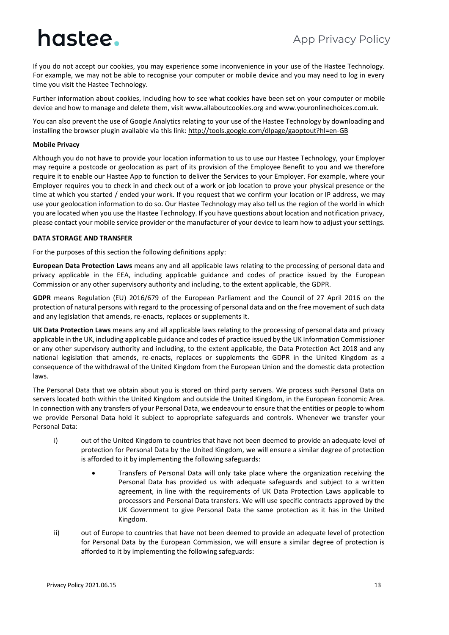If you do not accept our cookies, you may experience some inconvenience in your use of the Hastee Technology. For example, we may not be able to recognise your computer or mobile device and you may need to log in every time you visit the Hastee Technology.

Further information about cookies, including how to see what cookies have been set on your computer or mobile device and how to manage and delete them, visit www.allaboutcookies.org and www.youronlinechoices.com.uk.

You can also prevent the use of Google Analytics relating to your use of the Hastee Technology by downloading and installing the browser plugin available via this link:<http://tools.google.com/dlpage/gaoptout?hl=en-GB>

### **Mobile Privacy**

Although you do not have to provide your location information to us to use our Hastee Technology, your Employer may require a postcode or geolocation as part of its provision of the Employee Benefit to you and we therefore require it to enable our Hastee App to function to deliver the Services to your Employer. For example, where your Employer requires you to check in and check out of a work or job location to prove your physical presence or the time at which you started / ended your work. If you request that we confirm your location or IP address, we may use your geolocation information to do so. Our Hastee Technology may also tell us the region of the world in which you are located when you use the Hastee Technology. If you have questions about location and notification privacy, please contact your mobile service provider or the manufacturer of your device to learn how to adjust your settings.

### **DATA STORAGE AND TRANSFER**

For the purposes of this section the following definitions apply:

**European Data Protection Laws** means any and all applicable laws relating to the processing of personal data and privacy applicable in the EEA, including applicable guidance and codes of practice issued by the European Commission or any other supervisory authority and including, to the extent applicable, the GDPR.

**GDPR** means Regulation (EU) 2016/679 of the European Parliament and the Council of 27 April 2016 on the protection of natural persons with regard to the processing of personal data and on the free movement of such data and any legislation that amends, re-enacts, replaces or supplements it.

**UK Data Protection Laws** means any and all applicable laws relating to the processing of personal data and privacy applicable in the UK, including applicable guidance and codes of practice issued by the UK Information Commissioner or any other supervisory authority and including, to the extent applicable, the Data Protection Act 2018 and any national legislation that amends, re-enacts, replaces or supplements the GDPR in the United Kingdom as a consequence of the withdrawal of the United Kingdom from the European Union and the domestic data protection laws.

The Personal Data that we obtain about you is stored on third party servers. We process such Personal Data on servers located both within the United Kingdom and outside the United Kingdom, in the European Economic Area. In connection with any transfers of your Personal Data, we endeavour to ensure that the entities or people to whom we provide Personal Data hold it subject to appropriate safeguards and controls. Whenever we transfer your Personal Data:

- i) out of the United Kingdom to countries that have not been deemed to provide an adequate level of protection for Personal Data by the United Kingdom, we will ensure a similar degree of protection is afforded to it by implementing the following safeguards:
	- Transfers of Personal Data will only take place where the organization receiving the Personal Data has provided us with adequate safeguards and subject to a written agreement, in line with the requirements of UK Data Protection Laws applicable to processors and Personal Data transfers. We will use specific contracts approved by the UK Government to give Personal Data the same protection as it has in the United Kingdom.
- ii) out of Europe to countries that have not been deemed to provide an adequate level of protection for Personal Data by the European Commission, we will ensure a similar degree of protection is afforded to it by implementing the following safeguards: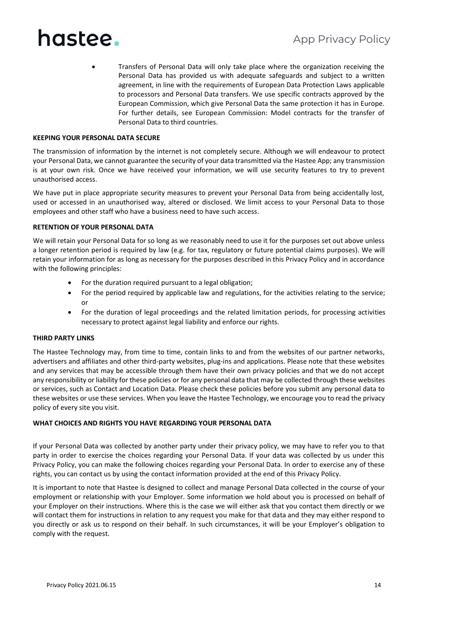• Transfers of Personal Data will only take place where the organization receiving the Personal Data has provided us with adequate safeguards and subject to a written agreement, in line with the requirements of European Data Protection Laws applicable to processors and Personal Data transfers. We use specific contracts approved by the European Commission, which give Personal Data the same protection it has in Europe. For further details, see European Commission: Model contracts for the transfer of Personal Data to third countries.

### **KEEPING YOUR PERSONAL DATA SECURE**

The transmission of information by the internet is not completely secure. Although we will endeavour to protect your Personal Data, we cannot guarantee the security of your data transmitted via the Hastee App; any transmission is at your own risk. Once we have received your information, we will use security features to try to prevent unauthorised access.

We have put in place appropriate security measures to prevent your Personal Data from being accidentally lost, used or accessed in an unauthorised way, altered or disclosed. We limit access to your Personal Data to those employees and other staff who have a business need to have such access.

### **RETENTION OF YOUR PERSONAL DATA**

We will retain your Personal Data for so long as we reasonably need to use it for the purposes set out above unless a longer retention period is required by law (e.g. for tax, regulatory or future potential claims purposes). We will retain your information for as long as necessary for the purposes described in this Privacy Policy and in accordance with the following principles:

- For the duration required pursuant to a legal obligation;
- For the period required by applicable law and regulations, for the activities relating to the service; or
- For the duration of legal proceedings and the related limitation periods, for processing activities necessary to protect against legal liability and enforce our rights.

### **THIRD PARTY LINKS**

The Hastee Technology may, from time to time, contain links to and from the websites of our partner networks, advertisers and affiliates and other third-party websites, plug-ins and applications. Please note that these websites and any services that may be accessible through them have their own privacy policies and that we do not accept any responsibility or liability for these policies or for any personal data that may be collected through these websites or services, such as Contact and Location Data. Please check these policies before you submit any personal data to these websites or use these services. When you leave the Hastee Technology, we encourage you to read the privacy policy of every site you visit.

### **WHAT CHOICES AND RIGHTS YOU HAVE REGARDING YOUR PERSONAL DATA**

If your Personal Data was collected by another party under their privacy policy, we may have to refer you to that party in order to exercise the choices regarding your Personal Data. If your data was collected by us under this Privacy Policy, you can make the following choices regarding your Personal Data. In order to exercise any of these rights, you can contact us by using the contact information provided at the end of this Privacy Policy.

It is important to note that Hastee is designed to collect and manage Personal Data collected in the course of your employment or relationship with your Employer. Some information we hold about you is processed on behalf of your Employer on their instructions. Where this is the case we will either ask that you contact them directly or we will contact them for instructions in relation to any request you make for that data and they may either respond to you directly or ask us to respond on their behalf. In such circumstances, it will be your Employer's obligation to comply with the request.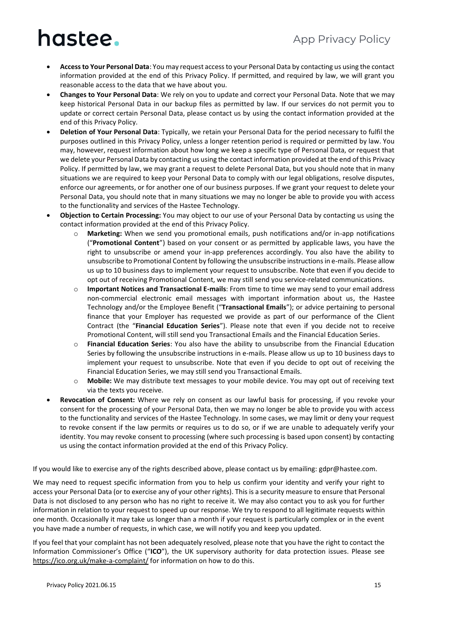### App Privacy Policy

# hastee.

- **Accessto Your Personal Data**: You may request access to your Personal Data by contacting us using the contact information provided at the end of this Privacy Policy. If permitted, and required by law, we will grant you reasonable access to the data that we have about you.
- **Changes to Your Personal Data**: We rely on you to update and correct your Personal Data. Note that we may keep historical Personal Data in our backup files as permitted by law. If our services do not permit you to update or correct certain Personal Data, please contact us by using the contact information provided at the end of this Privacy Policy.
- **Deletion of Your Personal Data**: Typically, we retain your Personal Data for the period necessary to fulfil the purposes outlined in this Privacy Policy, unless a longer retention period is required or permitted by law. You may, however, request information about how long we keep a specific type of Personal Data, or request that we delete your Personal Data by contacting us using the contact information provided at the end of this Privacy Policy. If permitted by law, we may grant a request to delete Personal Data, but you should note that in many situations we are required to keep your Personal Data to comply with our legal obligations, resolve disputes, enforce our agreements, or for another one of our business purposes. If we grant your request to delete your Personal Data, you should note that in many situations we may no longer be able to provide you with access to the functionality and services of the Hastee Technology.
- **Objection to Certain Processing:** You may object to our use of your Personal Data by contacting us using the contact information provided at the end of this Privacy Policy.
	- o **Marketing:** When we send you promotional emails, push notifications and/or in-app notifications ("**Promotional Content**") based on your consent or as permitted by applicable laws, you have the right to unsubscribe or amend your in-app preferences accordingly. You also have the ability to unsubscribe to Promotional Content by following the unsubscribe instructions in e-mails. Please allow us up to 10 business days to implement your request to unsubscribe. Note that even if you decide to opt out of receiving Promotional Content, we may still send you service-related communications.
	- o **Important Notices and Transactional E-mails**: From time to time we may send to your email address non-commercial electronic email messages with important information about us, the Hastee Technology and/or the Employee Benefit ("**Transactional Emails**"); or advice pertaining to personal finance that your Employer has requested we provide as part of our performance of the Client Contract (the "**Financial Education Series**"). Please note that even if you decide not to receive Promotional Content, will still send you Transactional Emails and the Financial Education Series.
	- o **Financial Education Series**: You also have the ability to unsubscribe from the Financial Education Series by following the unsubscribe instructions in e-mails. Please allow us up to 10 business days to implement your request to unsubscribe. Note that even if you decide to opt out of receiving the Financial Education Series, we may still send you Transactional Emails.
	- o **Mobile:** We may distribute text messages to your mobile device. You may opt out of receiving text via the texts you receive.
- **Revocation of Consent:** Where we rely on consent as our lawful basis for processing, if you revoke your consent for the processing of your Personal Data, then we may no longer be able to provide you with access to the functionality and services of the Hastee Technology. In some cases, we may limit or deny your request to revoke consent if the law permits or requires us to do so, or if we are unable to adequately verify your identity. You may revoke consent to processing (where such processing is based upon consent) by contacting us using the contact information provided at the end of this Privacy Policy.

If you would like to exercise any of the rights described above, please contact us by emailing: gdpr@hastee.com.

We may need to request specific information from you to help us confirm your identity and verify your right to access your Personal Data (or to exercise any of your other rights). This is a security measure to ensure that Personal Data is not disclosed to any person who has no right to receive it. We may also contact you to ask you for further information in relation to your request to speed up our response. We try to respond to all legitimate requests within one month. Occasionally it may take us longer than a month if your request is particularly complex or in the event you have made a number of requests, in which case, we will notify you and keep you updated.

If you feel that your complaint has not been adequately resolved, please note that you have the right to contact the Information Commissioner's Office ("**ICO**"), the UK supervisory authority for data protection issues. Please see <https://ico.org.uk/make-a-complaint/> for information on how to do this.